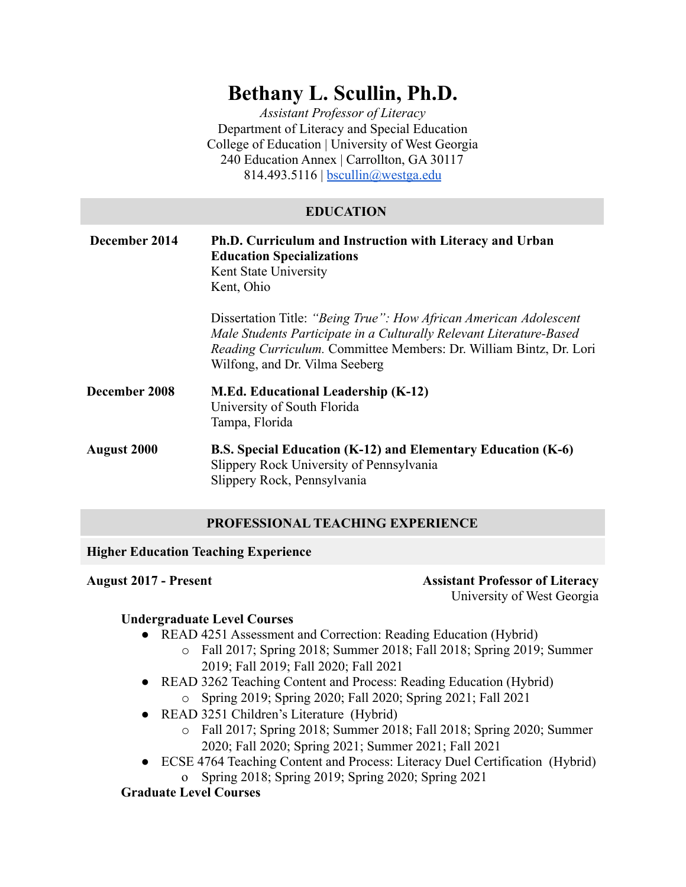# **Bethany L. Scullin, Ph.D.**

*Assistant Professor of Literacy* Department of Literacy and Special Education College of Education | University of West Georgia 240 Education Annex | Carrollton, GA 30117 814.493.5116 | <u>[bscullin@westga.edu](mailto:bscullin@westga.edu)</u>

# **EDUCATION**

| December 2014      | <b>Ph.D. Curriculum and Instruction with Literacy and Urban</b><br><b>Education Specializations</b><br>Kent State University<br>Kent, Ohio                                                                                                       |
|--------------------|--------------------------------------------------------------------------------------------------------------------------------------------------------------------------------------------------------------------------------------------------|
|                    | Dissertation Title: "Being True": How African American Adolescent<br>Male Students Participate in a Culturally Relevant Literature-Based<br>Reading Curriculum. Committee Members: Dr. William Bintz, Dr. Lori<br>Wilfong, and Dr. Vilma Seeberg |
| December 2008      | <b>M.Ed. Educational Leadership (K-12)</b><br>University of South Florida<br>Tampa, Florida                                                                                                                                                      |
| <b>August 2000</b> | B.S. Special Education (K-12) and Elementary Education (K-6)<br>Slippery Rock University of Pennsylvania<br>Slippery Rock, Pennsylvania                                                                                                          |

# **PROFESSIONAL TEACHING EXPERIENCE**

**Higher Education Teaching Experience**

**August 2017 - Present Assistant Professor of Literacy** University of West Georgia

# **Undergraduate Level Courses**

- READ 4251 Assessment and Correction: Reading Education (Hybrid)
	- o Fall 2017; Spring 2018; Summer 2018; Fall 2018; Spring 2019; Summer 2019; Fall 2019; Fall 2020; Fall 2021
- READ 3262 Teaching Content and Process: Reading Education (Hybrid) o Spring 2019; Spring 2020; Fall 2020; Spring 2021; Fall 2021
- READ 3251 Children's Literature (Hybrid)
	- o Fall 2017; Spring 2018; Summer 2018; Fall 2018; Spring 2020; Summer 2020; Fall 2020; Spring 2021; Summer 2021; Fall 2021
- ECSE 4764 Teaching Content and Process: Literacy Duel Certification (Hybrid) o Spring 2018; Spring 2019; Spring 2020; Spring 2021

# **Graduate Level Courses**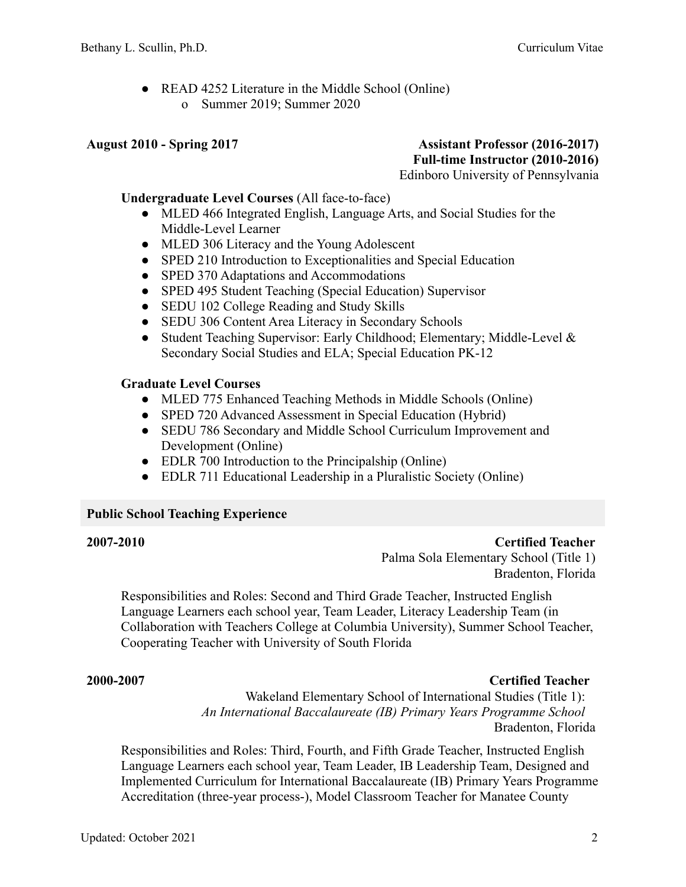• READ 4252 Literature in the Middle School (Online) o Summer 2019; Summer 2020

# **August 2010 - Spring 2017 Assistant Professor (2016-2017) Full-time Instructor (2010-2016)**

Edinboro University of Pennsylvania

#### **Undergraduate Level Courses** (All face-to-face)

- MLED 466 Integrated English, Language Arts, and Social Studies for the Middle-Level Learner
- MLED 306 Literacy and the Young Adolescent
- SPED 210 Introduction to Exceptionalities and Special Education
- SPED 370 Adaptations and Accommodations
- SPED 495 Student Teaching (Special Education) Supervisor
- SEDU 102 College Reading and Study Skills
- SEDU 306 Content Area Literacy in Secondary Schools
- Student Teaching Supervisor: Early Childhood; Elementary; Middle-Level & Secondary Social Studies and ELA; Special Education PK-12

#### **Graduate Level Courses**

- MLED 775 Enhanced Teaching Methods in Middle Schools (Online)
- SPED 720 Advanced Assessment in Special Education (Hybrid)
- SEDU 786 Secondary and Middle School Curriculum Improvement and Development (Online)
- EDLR 700 Introduction to the Principalship (Online)
- EDLR 711 Educational Leadership in a Pluralistic Society (Online)

#### **Public School Teaching Experience**

**2007-2010 Certified Teacher** Palma Sola Elementary School (Title 1) Bradenton, Florida

Responsibilities and Roles: Second and Third Grade Teacher, Instructed English Language Learners each school year, Team Leader, Literacy Leadership Team (in Collaboration with Teachers College at Columbia University), Summer School Teacher, Cooperating Teacher with University of South Florida

#### **2000-2007 Certified Teacher**

Wakeland Elementary School of International Studies (Title 1): *An International Baccalaureate (IB) Primary Years Programme School* Bradenton, Florida

Responsibilities and Roles: Third, Fourth, and Fifth Grade Teacher, Instructed English Language Learners each school year, Team Leader, IB Leadership Team, Designed and Implemented Curriculum for International Baccalaureate (IB) Primary Years Programme Accreditation (three-year process-), Model Classroom Teacher for Manatee County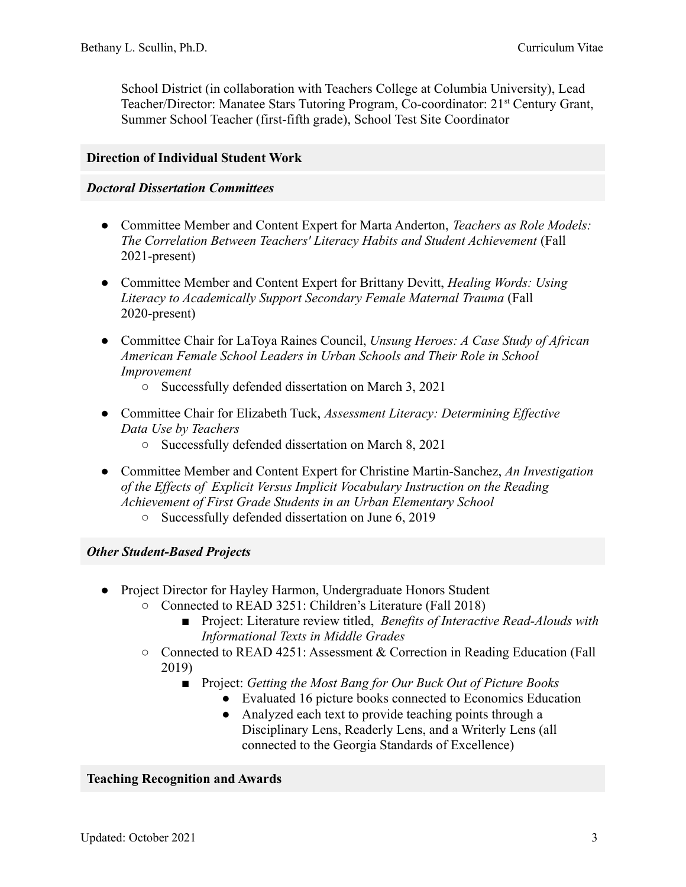School District (in collaboration with Teachers College at Columbia University), Lead Teacher/Director: Manatee Stars Tutoring Program, Co-coordinator: 21<sup>st</sup> Century Grant, Summer School Teacher (first-fifth grade), School Test Site Coordinator

# **Direction of Individual Student Work**

#### *Doctoral Dissertation Committees*

- Committee Member and Content Expert for Marta Anderton, *Teachers as Role Models: The Correlation Between Teachers' Literacy Habits and Student Achievement* (Fall 2021-present)
- Committee Member and Content Expert for Brittany Devitt, *Healing Words: Using Literacy to Academically Support Secondary Female Maternal Trauma* (Fall 2020-present)
- Committee Chair for LaToya Raines Council, *Unsung Heroes: A Case Study of African American Female School Leaders in Urban Schools and Their Role in School Improvement*
	- Successfully defended dissertation on March 3, 2021
- Committee Chair for Elizabeth Tuck, *Assessment Literacy: Determining Effective Data Use by Teachers*
	- Successfully defended dissertation on March 8, 2021
- Committee Member and Content Expert for Christine Martin-Sanchez, *An Investigation of the Effects of Explicit Versus Implicit Vocabulary Instruction on the Reading Achievement of First Grade Students in an Urban Elementary School*
	- Successfully defended dissertation on June 6, 2019

### *Other Student-Based Projects*

- Project Director for Hayley Harmon, Undergraduate Honors Student
	- Connected to READ 3251: Children's Literature (Fall 2018)
		- Project: Literature review titled, *Benefits of Interactive Read-Alouds with Informational Texts in Middle Grades*
	- Connected to READ 4251: Assessment & Correction in Reading Education (Fall 2019)
		- Project: *Getting the Most Bang for Our Buck Out of Picture Books*
			- Evaluated 16 picture books connected to Economics Education
			- Analyzed each text to provide teaching points through a Disciplinary Lens, Readerly Lens, and a Writerly Lens (all connected to the Georgia Standards of Excellence)

### **Teaching Recognition and Awards**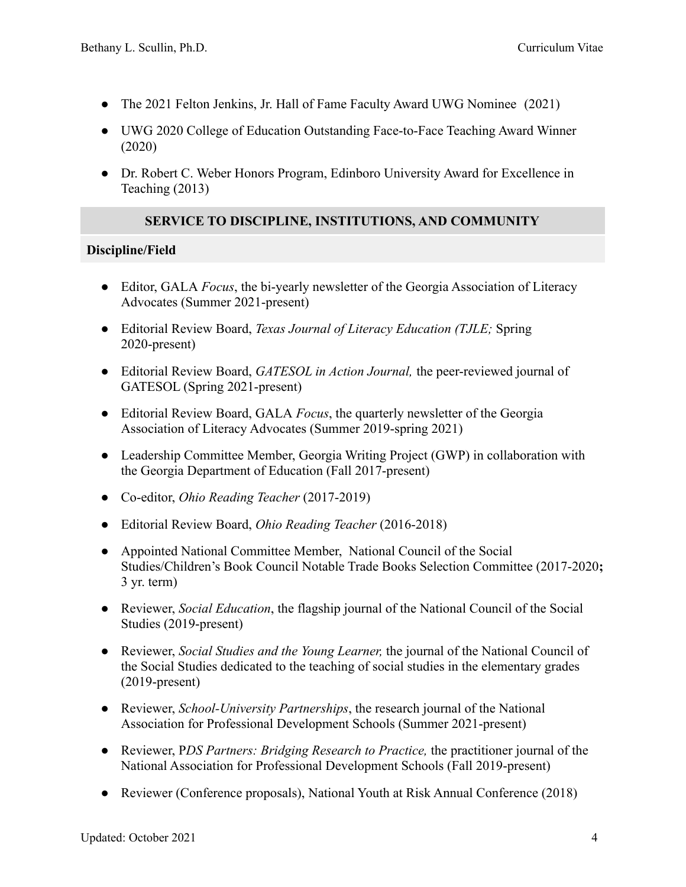- The 2021 Felton Jenkins, Jr. Hall of Fame Faculty Award UWG Nominee (2021)
- UWG 2020 College of Education Outstanding Face-to-Face Teaching Award Winner (2020)
- Dr. Robert C. Weber Honors Program, Edinboro University Award for Excellence in Teaching (2013)

# **SERVICE TO DISCIPLINE, INSTITUTIONS, AND COMMUNITY**

# **Discipline/Field**

- Editor, GALA *Focus*, the bi-yearly newsletter of the Georgia Association of Literacy Advocates (Summer 2021-present)
- Editorial Review Board, *Texas Journal of Literacy Education (TJLE;* Spring 2020-present)
- Editorial Review Board, *GATESOL in Action Journal,* the peer-reviewed journal of GATESOL (Spring 2021-present)
- Editorial Review Board, GALA *Focus*, the quarterly newsletter of the Georgia Association of Literacy Advocates (Summer 2019-spring 2021)
- Leadership Committee Member, Georgia Writing Project (GWP) in collaboration with the Georgia Department of Education (Fall 2017-present)
- Co-editor, *Ohio Reading Teacher* (2017-2019)
- Editorial Review Board, *Ohio Reading Teacher* (2016-2018)
- Appointed National Committee Member, National Council of the Social Studies/Children's Book Council Notable Trade Books Selection Committee (2017-2020**;** 3 yr. term)
- Reviewer, *Social Education*, the flagship journal of the National Council of the Social Studies (2019-present)
- Reviewer, *Social Studies and the Young Learner,* the journal of the National Council of the Social Studies dedicated to the teaching of social studies in the elementary grades (2019-present)
- Reviewer, *School-University Partnerships*, the research journal of the National Association for Professional Development Schools (Summer 2021-present)
- Reviewer, P*DS Partners: Bridging Research to Practice,* the practitioner journal of the National Association for Professional Development Schools (Fall 2019-present)
- Reviewer (Conference proposals), National Youth at Risk Annual Conference (2018)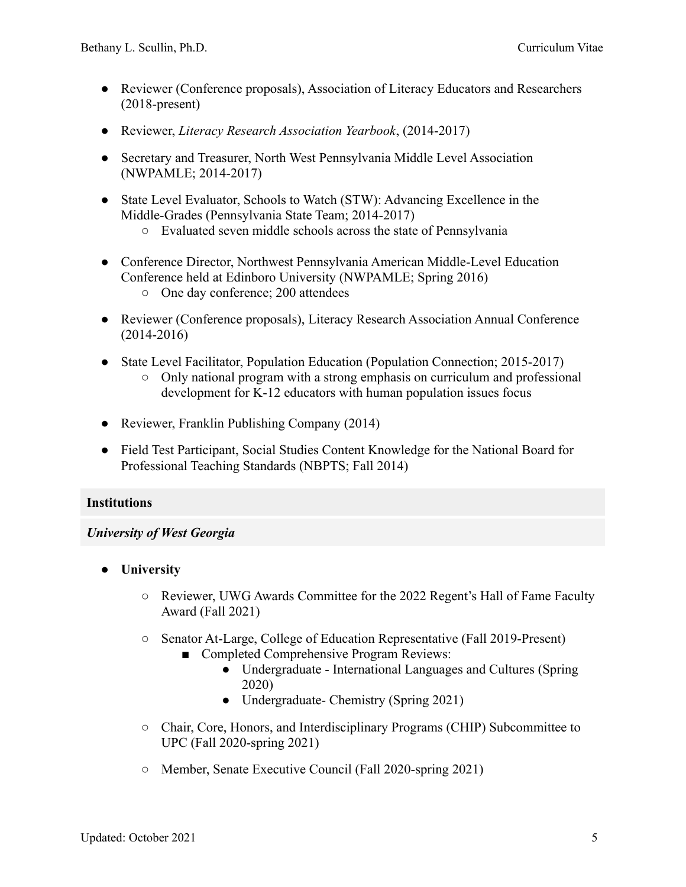- Reviewer (Conference proposals), Association of Literacy Educators and Researchers (2018-present)
- Reviewer, *Literacy Research Association Yearbook*, (2014-2017)
- Secretary and Treasurer, North West Pennsylvania Middle Level Association (NWPAMLE; 2014-2017)
- State Level Evaluator, Schools to Watch (STW): Advancing Excellence in the Middle-Grades (Pennsylvania State Team; 2014-2017)
	- Evaluated seven middle schools across the state of Pennsylvania
- Conference Director, Northwest Pennsylvania American Middle-Level Education Conference held at Edinboro University (NWPAMLE; Spring 2016) ○ One day conference; 200 attendees
- Reviewer (Conference proposals), Literacy Research Association Annual Conference (2014-2016)
- State Level Facilitator, Population Education (Population Connection; 2015-2017)
	- Only national program with a strong emphasis on curriculum and professional development for K-12 educators with human population issues focus
- Reviewer, Franklin Publishing Company (2014)
- Field Test Participant, Social Studies Content Knowledge for the National Board for Professional Teaching Standards (NBPTS; Fall 2014)

# **Institutions**

# *University of West Georgia*

- **● University**
	- Reviewer, UWG Awards Committee for the 2022 Regent's Hall of Fame Faculty Award (Fall 2021)
	- Senator At-Large, College of Education Representative (Fall 2019-Present)
		- Completed Comprehensive Program Reviews:
			- Undergraduate International Languages and Cultures (Spring 2020)
			- Undergraduate- Chemistry (Spring 2021)
	- Chair, Core, Honors, and Interdisciplinary Programs (CHIP) Subcommittee to UPC (Fall 2020-spring 2021)
	- Member, Senate Executive Council (Fall 2020-spring 2021)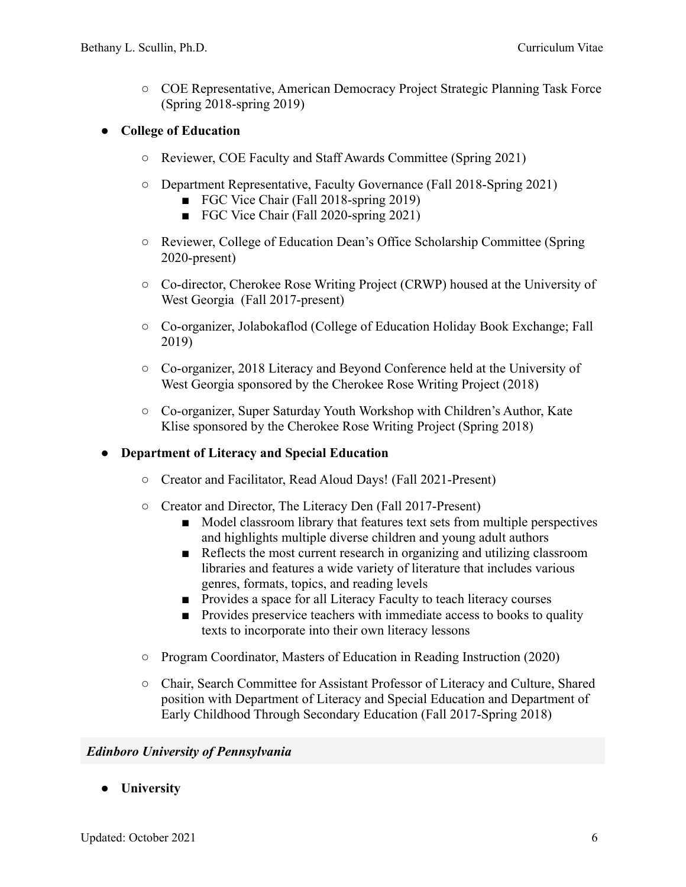○ COE Representative, American Democracy Project Strategic Planning Task Force (Spring 2018-spring 2019)

# **● College of Education**

- Reviewer, COE Faculty and Staff Awards Committee (Spring 2021)
- Department Representative, Faculty Governance (Fall 2018-Spring 2021)
	- FGC Vice Chair (Fall 2018-spring 2019)
	- FGC Vice Chair (Fall 2020-spring 2021)
- Reviewer, College of Education Dean's Office Scholarship Committee (Spring 2020-present)
- Co-director, Cherokee Rose Writing Project (CRWP) housed at the University of West Georgia (Fall 2017-present)
- **○** Co-organizer, Jolabokaflod (College of Education Holiday Book Exchange; Fall 2019)
- Co-organizer, 2018 Literacy and Beyond Conference held at the University of West Georgia sponsored by the Cherokee Rose Writing Project (2018)
- Co-organizer, Super Saturday Youth Workshop with Children's Author, Kate Klise sponsored by the Cherokee Rose Writing Project (Spring 2018)

### **● Department of Literacy and Special Education**

- **○** Creator and Facilitator, Read Aloud Days! (Fall 2021-Present)
- **○** Creator and Director, The Literacy Den (Fall 2017-Present)
	- Model classroom library that features text sets from multiple perspectives and highlights multiple diverse children and young adult authors
	- Reflects the most current research in organizing and utilizing classroom libraries and features a wide variety of literature that includes various genres, formats, topics, and reading levels
	- Provides a space for all Literacy Faculty to teach literacy courses
	- Provides preservice teachers with immediate access to books to quality texts to incorporate into their own literacy lessons
- **○** Program Coordinator, Masters of Education in Reading Instruction (2020)
- Chair, Search Committee for Assistant Professor of Literacy and Culture, Shared position with Department of Literacy and Special Education and Department of Early Childhood Through Secondary Education (Fall 2017-Spring 2018)

### *Edinboro University of Pennsylvania*

**● University**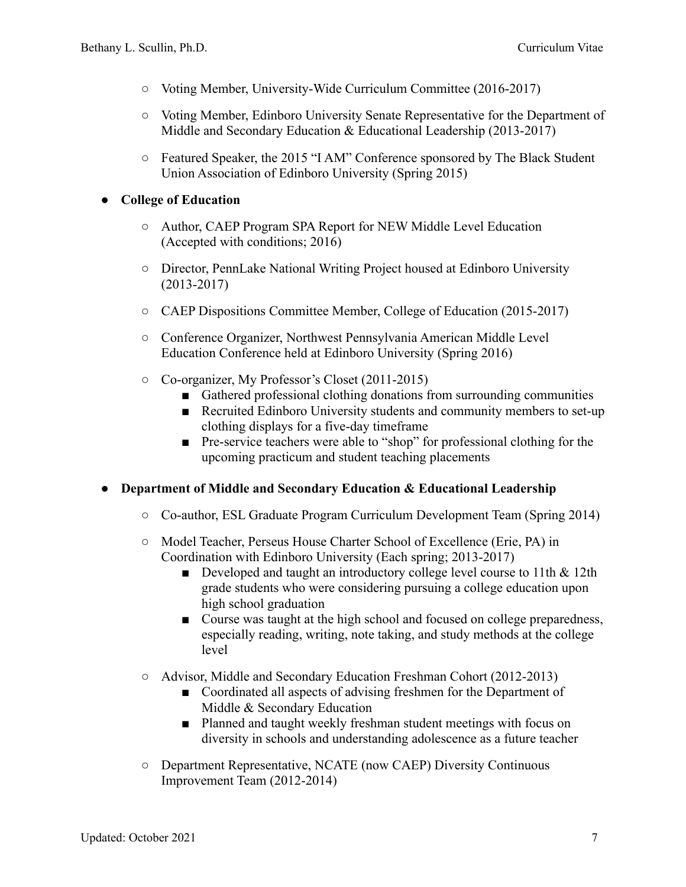- **○** Voting Member, University-Wide Curriculum Committee (2016-2017)
- **○** Voting Member, Edinboro University Senate Representative for the Department of Middle and Secondary Education & Educational Leadership (2013-2017)
- **○** Featured Speaker, the 2015 "I AM" Conference sponsored by The Black Student Union Association of Edinboro University (Spring 2015)

# **● College of Education**

- **○** Author, CAEP Program SPA Report for NEW Middle Level Education (Accepted with conditions; 2016)
- **○** Director, PennLake National Writing Project housed at Edinboro University (2013-2017)
- **○** CAEP Dispositions Committee Member, College of Education (2015-2017)
- **○** Conference Organizer, Northwest Pennsylvania American Middle Level Education Conference held at Edinboro University (Spring 2016)
- **○** Co-organizer, My Professor's Closet (2011-2015)
	- Gathered professional clothing donations from surrounding communities
	- Recruited Edinboro University students and community members to set-up clothing displays for a five-day timeframe
	- Pre-service teachers were able to "shop" for professional clothing for the upcoming practicum and student teaching placements

### **● Department of Middle and Secondary Education & Educational Leadership**

- **○** Co-author, ESL Graduate Program Curriculum Development Team (Spring 2014)
- Model Teacher, Perseus House Charter School of Excellence (Erie, PA) in Coordination with Edinboro University (Each spring; 2013-2017)
	- Developed and taught an introductory college level course to 11th & 12th grade students who were considering pursuing a college education upon high school graduation
	- Course was taught at the high school and focused on college preparedness, especially reading, writing, note taking, and study methods at the college level
- Advisor, Middle and Secondary Education Freshman Cohort (2012-2013)
	- Coordinated all aspects of advising freshmen for the Department of Middle & Secondary Education
	- Planned and taught weekly freshman student meetings with focus on diversity in schools and understanding adolescence as a future teacher
- Department Representative, NCATE (now CAEP) Diversity Continuous Improvement Team (2012-2014)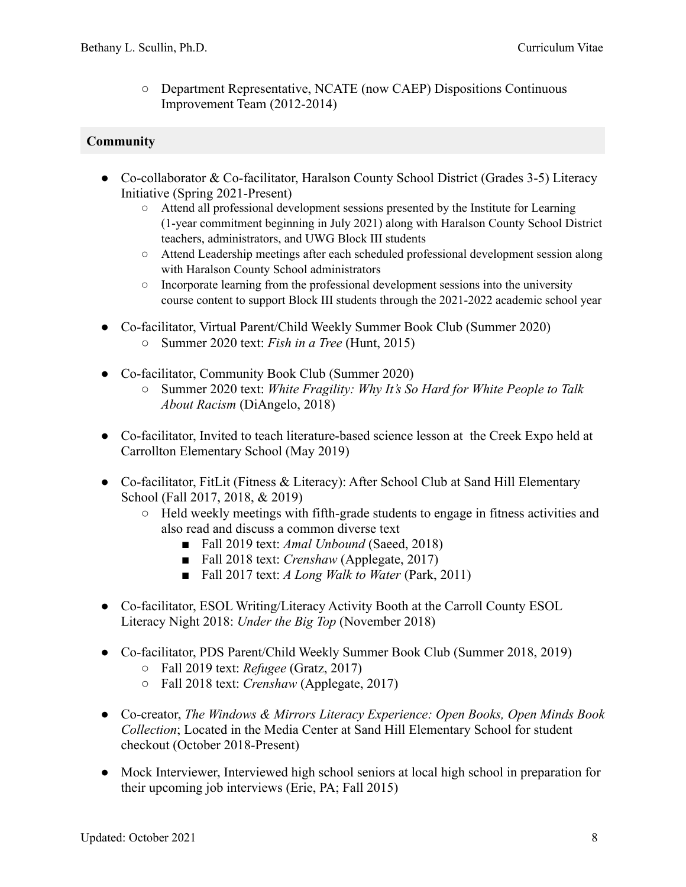○ Department Representative, NCATE (now CAEP) Dispositions Continuous Improvement Team (2012-2014)

# **Community**

- Co-collaborator & Co-facilitator, Haralson County School District (Grades 3-5) Literacy Initiative (Spring 2021-Present)
	- Attend all professional development sessions presented by the Institute for Learning (1-year commitment beginning in July 2021) along with Haralson County School District teachers, administrators, and UWG Block III students
	- Attend Leadership meetings after each scheduled professional development session along with Haralson County School administrators
	- Incorporate learning from the professional development sessions into the university course content to support Block III students through the 2021-2022 academic school year
- Co-facilitator, Virtual Parent/Child Weekly Summer Book Club (Summer 2020) ○ Summer 2020 text: *Fish in a Tree* (Hunt, 2015)
- Co-facilitator, Community Book Club (Summer 2020)
	- Summer 2020 text: *White Fragility: Why It's So Hard for White People to Talk About Racism* (DiAngelo, 2018)
- Co-facilitator, Invited to teach literature-based science lesson at the Creek Expo held at Carrollton Elementary School (May 2019)
- Co-facilitator, FitLit (Fitness & Literacy): After School Club at Sand Hill Elementary School (Fall 2017, 2018, & 2019)
	- Held weekly meetings with fifth-grade students to engage in fitness activities and also read and discuss a common diverse text
		- Fall 2019 text: *Amal Unbound* (Saeed, 2018)
		- Fall 2018 text: *Crenshaw* (Applegate, 2017)
		- Fall 2017 text: *A Long Walk to Water* (Park, 2011)
- Co-facilitator, ESOL Writing/Literacy Activity Booth at the Carroll County ESOL Literacy Night 2018: *Under the Big Top* (November 2018)
- Co-facilitator, PDS Parent/Child Weekly Summer Book Club (Summer 2018, 2019)
	- Fall 2019 text: *Refugee* (Gratz, 2017)
	- Fall 2018 text: *Crenshaw* (Applegate, 2017)
- Co-creator, *The Windows & Mirrors Literacy Experience: Open Books, Open Minds Book Collection*; Located in the Media Center at Sand Hill Elementary School for student checkout (October 2018-Present)
- Mock Interviewer, Interviewed high school seniors at local high school in preparation for their upcoming job interviews (Erie, PA; Fall 2015)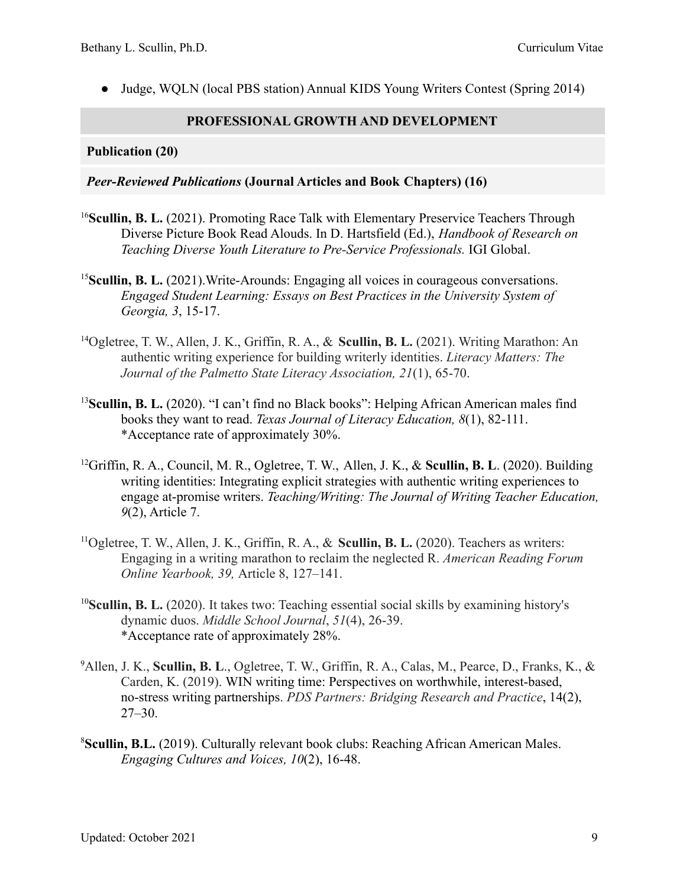• Judge, WOLN (local PBS station) Annual KIDS Young Writers Contest (Spring 2014)

# **PROFESSIONAL GROWTH AND DEVELOPMENT**

# **Publication (20)**

# *Peer-Reviewed Publications* **(Journal Articles and Book Chapters) (16)**

- <sup>16</sup>Scullin, B. L. (2021). Promoting Race Talk with Elementary Preservice Teachers Through Diverse Picture Book Read Alouds. In D. Hartsfield (Ed.), *Handbook of Research on Teaching Diverse Youth Literature to Pre-Service Professionals.* IGI Global.
- <sup>15</sup>**Scullin, B. L.** (2021).Write-Arounds: Engaging all voices in courageous conversations. *Engaged Student Learning: Essays on Best Practices in the University System of Georgia, 3*, 15-17.
- <sup>14</sup>Ogletree, T. W., Allen, J. K., Griffin, R. A., & **Scullin, B. L.** (2021). Writing Marathon: An authentic writing experience for building writerly identities. *Literacy Matters: The Journal of the Palmetto State Literacy Association, 21*(1), 65-70.
- <sup>13</sup>**Scullin, B. L.** (2020). "I can't find no Black books": Helping African American males find books they want to read. *Texas Journal of Literacy Education, 8*(1), 82-111. \*Acceptance rate of approximately 30%.
- <sup>12</sup>Griffin, R. A., Council, M. R., Ogletree, T. W., Allen, J. K., & **Scullin, B. L**. (2020). Building writing identities: Integrating explicit strategies with authentic writing experiences to engage at-promise writers. *Teaching/Writing: The Journal of Writing Teacher Education, 9*(2), Article 7.
- <sup>11</sup>Ogletree, T. W., Allen, J. K., Griffin, R. A., & **Scullin, B. L.** (2020). Teachers as writers: Engaging in a writing marathon to reclaim the neglected R. *American Reading Forum Online Yearbook, 39,* Article 8, 127–141.
- <sup>10</sup>**Scullin, B. L.** (2020). It takes two: Teaching essential social skills by examining history's dynamic duos. *Middle School Journal*, *51*(4), 26-39. \*Acceptance rate of approximately 28%.
- <sup>9</sup>Allen, J. K., **Scullin, B. L**., Ogletree, T. W., Griffin, R. A., Calas, M., Pearce, D., Franks, K., & Carden, K. (2019). WIN writing time: Perspectives on worthwhile, interest-based, no-stress writing partnerships. *PDS Partners: Bridging Research and Practice*, 14(2), 27–30.
- <sup>8</sup>**Scullin, B.L.** (2019). Culturally relevant book clubs: Reaching African American Males. *Engaging Cultures and Voices, 10*(2), 16-48.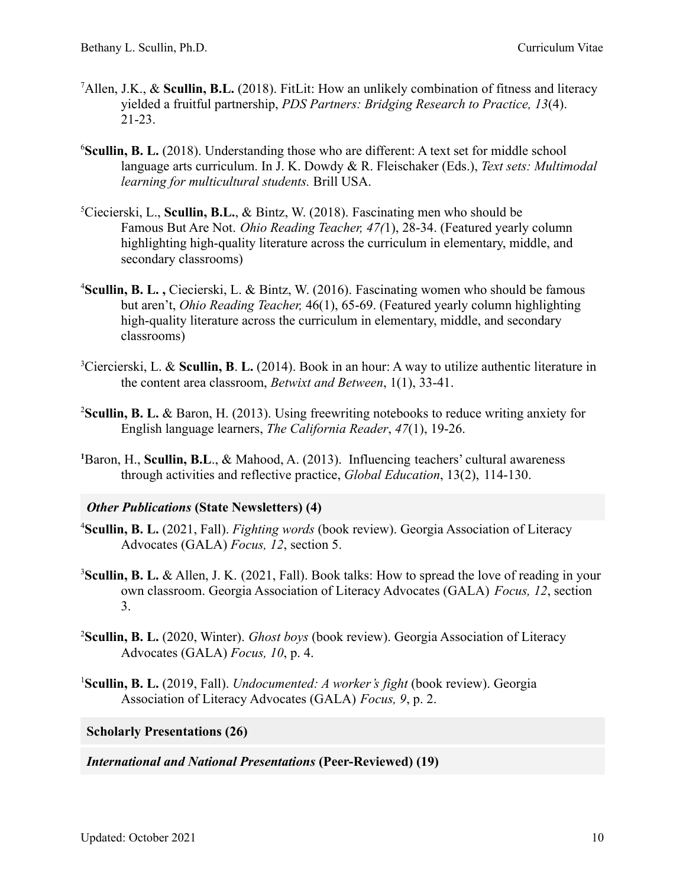- <sup>7</sup>Allen, J.K., & **Scullin, B.L.** (2018). FitLit: How an unlikely combination of fitness and literacy yielded a fruitful partnership, *PDS Partners: Bridging Research to Practice, 13*(4). 21-23.
- <sup>6</sup>Scullin, B. L. (2018). Understanding those who are different: A text set for middle school language arts curriculum. In J. K. Dowdy & R. Fleischaker (Eds.), *Text sets: Multimodal learning for multicultural students.* Brill USA.
- <sup>5</sup>Ciecierski, L., **Scullin, B.L.**, & Bintz, W. (2018). Fascinating men who should be Famous But Are Not. *Ohio Reading Teacher, 47(*1), 28-34. (Featured yearly column highlighting high-quality literature across the curriculum in elementary, middle, and secondary classrooms)
- <sup>4</sup>**Scullin, B. L. ,** Ciecierski, L. & Bintz, W. (2016). Fascinating women who should be famous but aren't, *Ohio Reading Teacher,* 46(1), 65-69. (Featured yearly column highlighting high-quality literature across the curriculum in elementary, middle, and secondary classrooms)
- <sup>3</sup>Ciercierski, L. & **Scullin, B**. **L.** (2014). Book in an hour: A way to utilize authentic literature in the content area classroom, *Betwixt and Between*, 1(1), 33-41.
- <sup>2</sup>**Scullin, B. L.** & Baron, H. (2013). Using freewriting notebooks to reduce writing anxiety for English language learners, *The California Reader*, *47*(1), 19-26.
- **<sup>1</sup>**Baron, H., **Scullin, B.L**., & Mahood, A. (2013). Influencing teachers' cultural awareness through activities and reflective practice, *Global Education*, 13(2), 114-130.

### *Other Publications* **(State Newsletters) (4)**

- <sup>4</sup>**Scullin, B. L.** (2021, Fall). *Fighting words* (book review). Georgia Association of Literacy Advocates (GALA) *Focus, 12*, section 5.
- <sup>3</sup>**Scullin, B. L.** & Allen, J. K. (2021, Fall). Book talks: How to spread the love of reading in your own classroom. Georgia Association of Literacy Advocates (GALA) *Focus, 12*, section 3.
- <sup>2</sup>**Scullin, B. L.** (2020, Winter). *Ghost boys* (book review). Georgia Association of Literacy Advocates (GALA) *Focus, 10*, p. 4.
- <sup>1</sup>**Scullin, B. L.** (2019, Fall). *Undocumented: A worker's fight* (book review). Georgia Association of Literacy Advocates (GALA) *Focus, 9*, p. 2.

### **Scholarly Presentations (26)**

*International and National Presentations* **(Peer-Reviewed) (19)**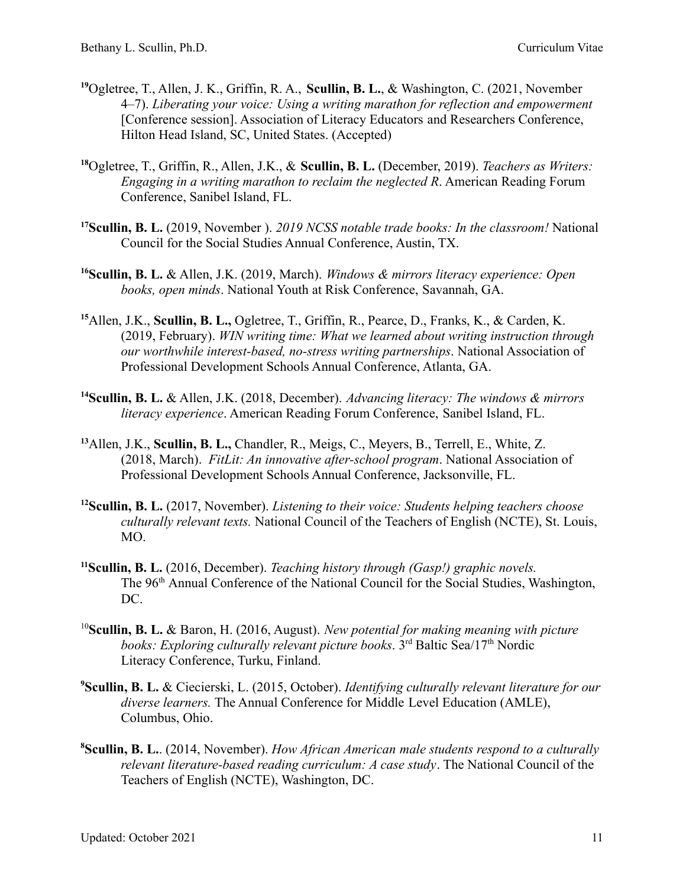- **<sup>19</sup>**Ogletree, T., Allen, J. K., Griffin, R. A., **Scullin, B. L.**, & Washington, C. (2021, November 4–7). *Liberating your voice: Using a writing marathon for reflection and empowerment* [Conference session]. Association of Literacy Educators and Researchers Conference, Hilton Head Island, SC, United States. (Accepted)
- **<sup>18</sup>**Ogletree, T., Griffin, R., Allen, J.K., & **Scullin, B. L.** (December, 2019). *Teachers as Writers: Engaging in a writing marathon to reclaim the neglected R*. American Reading Forum Conference, Sanibel Island, FL.
- **<sup>17</sup>Scullin, B. L.** (2019, November ). *2019 NCSS notable trade books: In the classroom!* National Council for the Social Studies Annual Conference, Austin, TX.
- **<sup>16</sup>Scullin, B. L.** & Allen, J.K. (2019, March). *Windows & mirrors literacy experience: Open books, open minds*. National Youth at Risk Conference, Savannah, GA.
- **<sup>15</sup>**Allen, J.K., **Scullin, B. L.,** Ogletree, T., Griffin, R., Pearce, D., Franks, K., & Carden, K. (2019, February). *WIN writing time: What we learned about writing instruction through our worthwhile interest-based, no-stress writing partnerships*. National Association of Professional Development Schools Annual Conference, Atlanta, GA.
- **<sup>14</sup>Scullin, B. L.** & Allen, J.K. (2018, December). *Advancing literacy: The windows & mirrors literacy experience*. American Reading Forum Conference, Sanibel Island, FL.
- **<sup>13</sup>**Allen, J.K., **Scullin, B. L.,** Chandler, R., Meigs, C., Meyers, B., Terrell, E., White, Z. (2018, March). *FitLit: An innovative after-school program*. National Association of Professional Development Schools Annual Conference, Jacksonville, FL.
- **<sup>12</sup>Scullin, B. L.** (2017, November). *Listening to their voice: Students helping teachers choose culturally relevant texts.* National Council of the Teachers of English (NCTE), St. Louis, MO.
- **<sup>11</sup>Scullin, B. L.** (2016, December). *Teaching history through (Gasp!) graphic novels.* The 96<sup>th</sup> Annual Conference of the National Council for the Social Studies, Washington, DC.
- <sup>10</sup>**Scullin, B. L.** & Baron, H. (2016, August). *New potential for making meaning with picture* books: Exploring culturally relevant picture books. 3<sup>rd</sup> Baltic Sea/17<sup>th</sup> Nordic Literacy Conference, Turku, Finland.
- **<sup>9</sup>Scullin, B. L.** & Ciecierski, L. (2015, October). *Identifying culturally relevant literature for our diverse learners.* The Annual Conference for Middle Level Education (AMLE), Columbus, Ohio.
- **<sup>8</sup>Scullin, B. L.**. (2014, November). *How African American male students respond to a culturally relevant literature-based reading curriculum: A case study*. The National Council of the Teachers of English (NCTE), Washington, DC.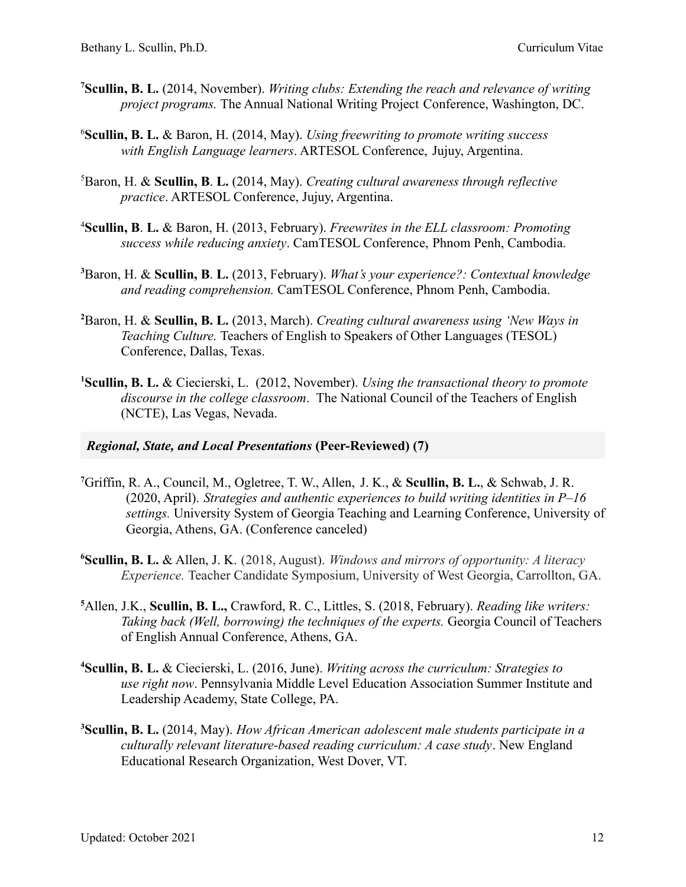- **<sup>7</sup>Scullin, B. L.** (2014, November). *Writing clubs: Extending the reach and relevance of writing project programs.* The Annual National Writing Project Conference, Washington, DC.
- <sup>6</sup>**Scullin, B. L.** & Baron, H. (2014, May). *Using freewriting to promote writing success with English Language learners*. ARTESOL Conference, Jujuy, Argentina.
- <sup>5</sup>Baron, H. & **Scullin, B**. **L.** (2014, May). *Creating cultural awareness through reflective practice*. ARTESOL Conference, Jujuy, Argentina.
- <sup>4</sup>**Scullin, B**. **L.** & Baron, H. (2013, February). *Freewrites in the ELL classroom: Promoting success while reducing anxiety*. CamTESOL Conference, Phnom Penh, Cambodia.
- **<sup>3</sup>**Baron, H. & **Scullin, B**. **L.** (2013, February). *What's your experience?: Contextual knowledge and reading comprehension.* CamTESOL Conference, Phnom Penh, Cambodia.
- **<sup>2</sup>**Baron, H. & **Scullin, B. L.** (2013, March). *Creating cultural awareness using 'New Ways in Teaching Culture.* Teachers of English to Speakers of Other Languages (TESOL) Conference, Dallas, Texas.
- **<sup>1</sup>Scullin, B. L.** & Ciecierski, L. (2012, November). *Using the transactional theory to promote discourse in the college classroom*. The National Council of the Teachers of English (NCTE), Las Vegas, Nevada.

# *Regional, State, and Local Presentations* **(Peer-Reviewed) (7)**

- **<sup>7</sup>**Griffin, R. A., Council, M., Ogletree, T. W., Allen, J. K., & **Scullin, B. L.**, & Schwab, J. R. (2020, April). *Strategies and authentic experiences to build writing identities in P–16 settings.* University System of Georgia Teaching and Learning Conference, University of Georgia, Athens, GA. (Conference canceled)
- **<sup>6</sup>Scullin, B. L.** & Allen, J. K. (2018, August). *Windows and mirrors of opportunity: A literacy Experience.* Teacher Candidate Symposium, University of West Georgia, Carrollton, GA.
- **<sup>5</sup>**Allen, J.K., **Scullin, B. L.,** Crawford, R. C., Littles, S. (2018, February). *Reading like writers: Taking back (Well, borrowing) the techniques of the experts.* Georgia Council of Teachers of English Annual Conference, Athens, GA.
- **<sup>4</sup>Scullin, B. L.** & Ciecierski, L. (2016, June). *Writing across the curriculum: Strategies to use right now*. Pennsylvania Middle Level Education Association Summer Institute and Leadership Academy, State College, PA.
- **<sup>3</sup>Scullin, B. L.** (2014, May). *How African American adolescent male students participate in a culturally relevant literature-based reading curriculum: A case study*. New England Educational Research Organization, West Dover, VT.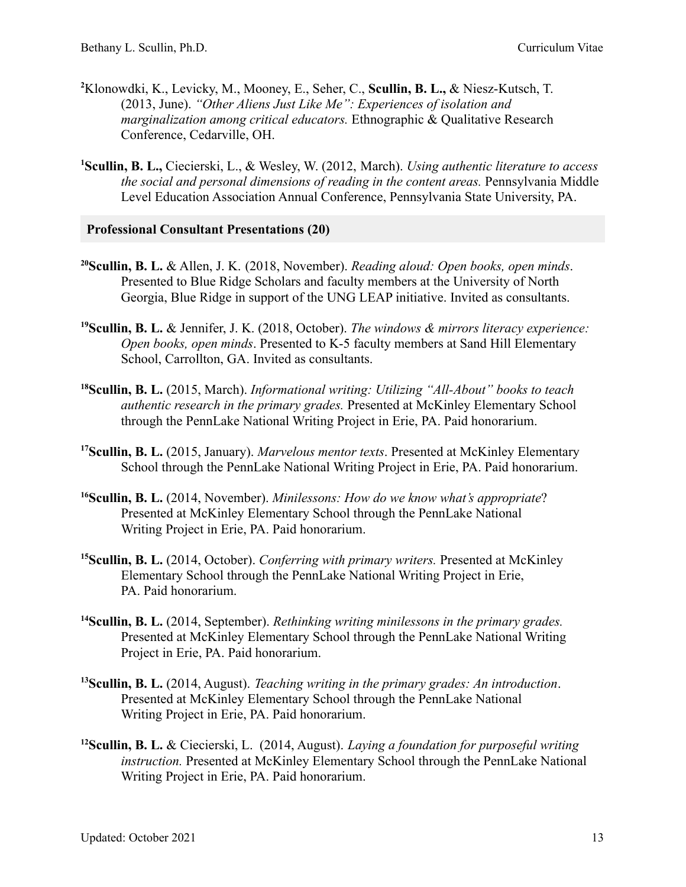- **<sup>2</sup>**Klonowdki, K., Levicky, M., Mooney, E., Seher, C., **Scullin, B. L.,** & Niesz-Kutsch, T. (2013, June). *"Other Aliens Just Like Me": Experiences of isolation and marginalization among critical educators.* Ethnographic & Qualitative Research Conference, Cedarville, OH.
- **<sup>1</sup>Scullin, B. L.,** Ciecierski, L., & Wesley, W. (2012, March). *Using authentic literature to access the social and personal dimensions of reading in the content areas.* Pennsylvania Middle Level Education Association Annual Conference, Pennsylvania State University, PA.

#### **Professional Consultant Presentations (20)**

- **<sup>20</sup>Scullin, B. L.** & Allen, J. K. (2018, November). *Reading aloud: Open books, open minds*. Presented to Blue Ridge Scholars and faculty members at the University of North Georgia, Blue Ridge in support of the UNG LEAP initiative. Invited as consultants.
- **<sup>19</sup>Scullin, B. L.** & Jennifer, J. K. (2018, October). *The windows & mirrors literacy experience: Open books, open minds*. Presented to K-5 faculty members at Sand Hill Elementary School, Carrollton, GA. Invited as consultants.
- **<sup>18</sup>Scullin, B. L.** (2015, March). *Informational writing: Utilizing "All-About" books to teach authentic research in the primary grades.* Presented at McKinley Elementary School through the PennLake National Writing Project in Erie, PA. Paid honorarium.
- **<sup>17</sup>Scullin, B. L.** (2015, January). *Marvelous mentor texts*. Presented at McKinley Elementary School through the PennLake National Writing Project in Erie, PA. Paid honorarium.
- **<sup>16</sup>Scullin, B. L.** (2014, November). *Minilessons: How do we know what's appropriate*? Presented at McKinley Elementary School through the PennLake National Writing Project in Erie, PA. Paid honorarium.
- **<sup>15</sup>Scullin, B. L.** (2014, October). *Conferring with primary writers.* Presented at McKinley Elementary School through the PennLake National Writing Project in Erie, PA. Paid honorarium.
- **<sup>14</sup>Scullin, B. L.** (2014, September). *Rethinking writing minilessons in the primary grades.* Presented at McKinley Elementary School through the PennLake National Writing Project in Erie, PA. Paid honorarium.
- **<sup>13</sup>Scullin, B. L.** (2014, August). *Teaching writing in the primary grades: An introduction*. Presented at McKinley Elementary School through the PennLake National Writing Project in Erie, PA. Paid honorarium.
- **<sup>12</sup>Scullin, B. L.** & Ciecierski, L. (2014, August). *Laying a foundation for purposeful writing instruction.* Presented at McKinley Elementary School through the PennLake National Writing Project in Erie, PA. Paid honorarium.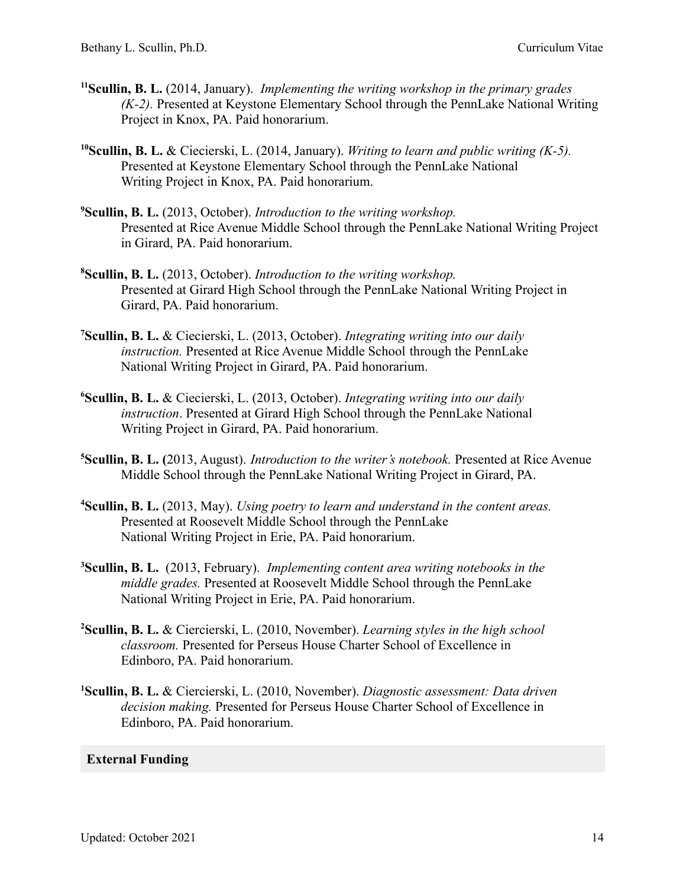- **<sup>11</sup>Scullin, B. L.** (2014, January). *Implementing the writing workshop in the primary grades (K-2).* Presented at Keystone Elementary School through the PennLake National Writing Project in Knox, PA. Paid honorarium.
- **<sup>10</sup>Scullin, B. L.** & Ciecierski, L. (2014, January). *Writing to learn and public writing (K-5).* Presented at Keystone Elementary School through the PennLake National Writing Project in Knox, PA. Paid honorarium.
- **<sup>9</sup>Scullin, B. L.** (2013, October). *Introduction to the writing workshop.* Presented at Rice Avenue Middle School through the PennLake National Writing Project in Girard, PA. Paid honorarium.
- **<sup>8</sup>Scullin, B. L.** (2013, October). *Introduction to the writing workshop.* Presented at Girard High School through the PennLake National Writing Project in Girard, PA. Paid honorarium.
- **<sup>7</sup>Scullin, B. L.** & Ciecierski, L. (2013, October). *Integrating writing into our daily instruction.* Presented at Rice Avenue Middle School through the PennLake National Writing Project in Girard, PA. Paid honorarium.
- **<sup>6</sup>Scullin, B. L.** & Ciecierski, L. (2013, October). *Integrating writing into our daily instruction*. Presented at Girard High School through the PennLake National Writing Project in Girard, PA. Paid honorarium.
- **<sup>5</sup>Scullin, B. L. (**2013, August). *Introduction to the writer's notebook.* Presented at Rice Avenue Middle School through the PennLake National Writing Project in Girard, PA.
- **<sup>4</sup>Scullin, B. L.** (2013, May). *Using poetry to learn and understand in the content areas.* Presented at Roosevelt Middle School through the PennLake National Writing Project in Erie, PA. Paid honorarium.
- **<sup>3</sup>Scullin, B. L.** (2013, February). *Implementing content area writing notebooks in the middle grades.* Presented at Roosevelt Middle School through the PennLake National Writing Project in Erie, PA. Paid honorarium.
- **<sup>2</sup>Scullin, B. L.** & Ciercierski, L. (2010, November). *Learning styles in the high school classroom.* Presented for Perseus House Charter School of Excellence in Edinboro, PA. Paid honorarium.
- **<sup>1</sup>Scullin, B. L.** & Ciercierski, L. (2010, November). *Diagnostic assessment: Data driven decision making.* Presented for Perseus House Charter School of Excellence in Edinboro, PA. Paid honorarium.

# **External Funding**